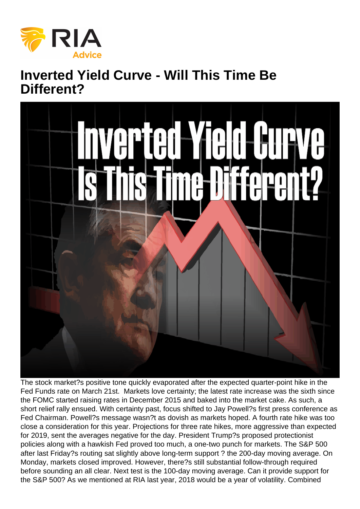## Inverted Yield Curve - Will This Time Be Different?

The stock market?s positive tone quickly evaporated after the expected quarter-point hike in the Fed Funds rate on March 21st. Markets love certainty; the latest rate increase was the sixth since the FOMC started raising rates in December 2015 and baked into the market cake. As such, a short relief rally ensued. With certainty past, focus shifted to Jay Powell?s first press conference as Fed Chairman. Powell?s message wasn?t as dovish as markets hoped. A fourth rate hike was too close a consideration for this year. Projections for three rate hikes, more aggressive than expected for 2019, sent the averages negative for the day. President Trump?s proposed protectionist policies along with a hawkish Fed proved too much, a one-two punch for markets. The S&P 500 after last Friday?s routing sat slightly above long-term support ? the 200-day moving average. On Monday, markets closed improved. However, there?s still substantial follow-through required before sounding an all clear. Next test is the 100-day moving average. Can it provide support for the S&P 500? As we mentioned at RIA last year, 2018 would be a year of volatility. Combined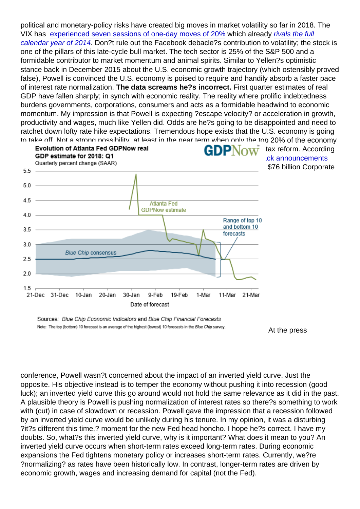political and monetary-policy risks have created big moves in market volatility so far in 2018. The VIX has [experienced seven sessions of one-day moves of 20%](https://www.marketwatch.com/story/theres-been-a-historic-amount-of-earthshaking-stock-market-volatility-this-year-2018-03-22) which already [rivals the full](https://www.marketwatch.com/story/theres-been-a-historic-amount-of-earthshaking-stock-market-volatility-this-year-2018-03-22) [calendar year of 2014](https://www.marketwatch.com/story/theres-been-a-historic-amount-of-earthshaking-stock-market-volatility-this-year-2018-03-22). Don?t rule out the Facebook debacle?s contribution to volatility; the stock is one of the pillars of this late-cycle bull market. The tech sector is 25% of the S&P 500 and a formidable contributor to market momentum and animal spirits. Similar to Yellen?s optimistic stance back in December 2015 about the U.S. economic growth trajectory (which ostensibly proved false), Powell is convinced the U.S. economy is poised to require and handily absorb a faster pace of interest rate normalization. The data screams he?s incorrect. First quarter estimates of real GDP have fallen sharply; in synch with economic reality. The reality where prolific indebtedness burdens governments, corporations, consumers and acts as a formidable headwind to economic momentum. My impression is that Powell is expecting ?escape velocity? or acceleration in growth, productivity and wages, much like Yellen did. Odds are he?s going to be disappointed and need to ratchet down lofty rate hike expectations. Tremendous hope exists that the U.S. economy is going to take off. Not a strong possibility, at least in the near term when only the top 20% of the economy [enjoys wage growth and corporations deem shareholders the big winners of t](https://realinvestmentadvice.com/wp-content/uploads/2018/03/Rosso-1-032818.gif)ax reform. According to Birinyi Associates, stock share buybacks are on fire - [\\$171 billion of buyback announcements](http://money.cnn.com/2018/02/16/investing/stock-buybacks-tax-law-bonuses/index.html) [this year so far.](http://money.cnn.com/2018/02/16/investing/stock-buybacks-tax-law-bonuses/index.html) A record high for this point of the year, more than double the \$76 billion Corporate America disclosed at the same point of 2017.

At the press

conference, Powell wasn?t concerned about the impact of an inverted yield curve. Just the opposite. His objective instead is to temper the economy without pushing it into recession (good luck); an inverted yield curve this go around would not hold the same relevance as it did in the past. A plausible theory is Powell is pushing normalization of interest rates so there?s something to work with (cut) in case of slowdown or recession. Powell gave the impression that a recession followed by an inverted yield curve would be unlikely during his tenure. In my opinion, it was a disturbing ?it?s different this time,? moment for the new Fed head honcho. I hope he?s correct. I have my doubts. So, what?s this inverted yield curve, why is it important? What does it mean to you? An inverted yield curve occurs when short-term rates exceed long-term rates. During economic expansions the Fed tightens monetary policy or increases short-term rates. Currently, we?re ?normalizing? as rates have been historically low. In contrast, longer-term rates are driven by economic growth, wages and increasing demand for capital (not the Fed).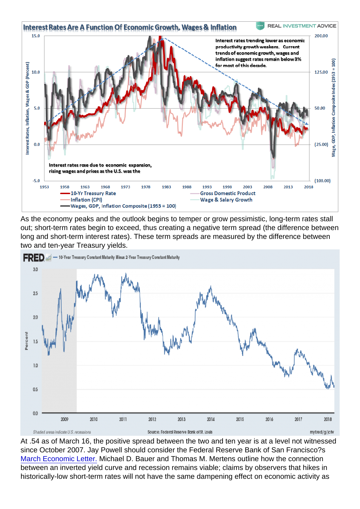As the economy peaks and the outlook begins to temper or grow pessimistic, long-term rates stall out; short-term rates begin to exceed, thus creating a negative term spread (the difference between long and short-term interest rates). These term spreads are measured by the difference between two and ten-year Treasury yields.

At .54 as of March 16, the positive spread between the two and ten year is at a level not witnessed since October 2007. Jay Powell should consider the Federal Reserve Bank of San Francisco?s [March Economic Letter.](https://www.frbsf.org/economic-research/publications/economic-letter/2018/march/economic-forecasts-with-yield-curve/) Michael D. Bauer and Thomas M. Mertens outline how the connection between an inverted yield curve and recession remains viable; claims by observers that hikes in historically-low short-term rates will not have the same dampening effect on economic activity as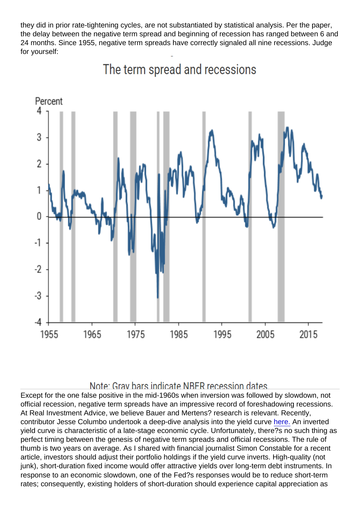they did in prior rate-tightening cycles, are not substantiated by statistical analysis. Per the paper, the delay between the negative term spread and beginning of recession has ranged between 6 and 24 months. Since 1955, negative term spreads have correctly signaled all nine recessions. Judge for yourself:

Except for the one false positive in the mid-1960s when inversion was followed by slowdown, not official recession, negative term spreads have an impressive record of foreshadowing recessions. At Real Investment Advice, we believe Bauer and Mertens? research is relevant. Recently, contributor Jesse Columbo undertook a deep-dive analysis into the yield curve [here.](https://realinvestmentadvice.com/when-is-the-next-recession-and-bear-market/) An inverted yield curve is characteristic of a late-stage economic cycle. Unfortunately, there?s no such thing as perfect timing between the genesis of negative term spreads and official recessions. The rule of thumb is two years on average. As I shared with financial journalist Simon Constable for a recent article, investors should adjust their portfolio holdings if the yield curve inverts. High-quality (not junk), short-duration fixed income would offer attractive yields over long-term debt instruments. In response to an economic slowdown, one of the Fed?s responses would be to reduce short-term rates; consequently, existing holders of short-duration should experience capital appreciation as